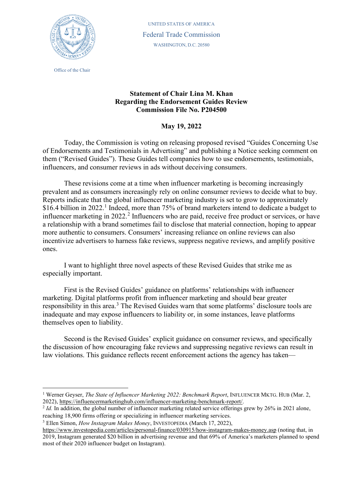

Office of the Chair

UNITED STATES OF AMERICA Federal Trade Commission WASHINGTON, D.C. 20580

## **Statement of Chair Lina M. Khan Regarding the Endorsement Guides Review Commission File No. P204500**

## **May 19, 2022**

Today, the Commission is voting on releasing proposed revised "Guides Concerning Use of Endorsements and Testimonials in Advertising" and publishing a Notice seeking comment on them ("Revised Guides"). These Guides tell companies how to use endorsements, testimonials, influencers, and consumer reviews in ads without deceiving consumers.

These revisions come at a time when influencer marketing is becoming increasingly prevalent and as consumers increasingly rely on online consumer reviews to decide what to buy. Reports indicate that the global influencer marketing industry is set to grow to approximately \$[1](#page-0-0)6.4 billion in 2022.<sup>1</sup> Indeed, more than 75% of brand marketers intend to dedicate a budget to influencer marketing in  $2022<sup>2</sup>$  $2022<sup>2</sup>$  Influencers who are paid, receive free product or services, or have a relationship with a brand sometimes fail to disclose that material connection, hoping to appear more authentic to consumers. Consumers' increasing reliance on online reviews can also incentivize advertisers to harness fake reviews, suppress negative reviews, and amplify positive ones.

I want to highlight three novel aspects of these Revised Guides that strike me as especially important.

First is the Revised Guides' guidance on platforms' relationships with influencer marketing. Digital platforms profit from influencer marketing and should bear greater responsibility in this area.<sup>[3](#page-0-2)</sup> The Revised Guides warn that some platforms' disclosure tools are inadequate and may expose influencers to liability or, in some instances, leave platforms themselves open to liability.

Second is the Revised Guides' explicit guidance on consumer reviews, and specifically the discussion of how encouraging fake reviews and suppressing negative reviews can result in law violations. This guidance reflects recent enforcement actions the agency has taken—

<span id="page-0-2"></span><sup>3</sup> Ellen Simon, *How Instagram Makes Money*, INVESTOPEDIA (March 17, 2022),

<span id="page-0-0"></span><sup>1</sup> Werner Geyser, *The State of Influencer Marketing 2022: Benchmark Report*, INFLUENCER MKTG. HUB (Mar. 2, 2022), [https://influencermarketinghub.com/influencer-marketing-benchmark-report/.](https://influencermarketinghub.com/influencer-marketing-benchmark-report/)

<span id="page-0-1"></span><sup>&</sup>lt;sup>2</sup> *Id.* In addition, the global number of influencer marketing related service offerings grew by 26% in 2021 alone, reaching 18,900 firms offering or specializing in influencer marketing services.

<https://www.investopedia.com/articles/personal-finance/030915/how-instagram-makes-money.asp> (noting that, in 2019, Instagram generated \$20 billion in advertising revenue and that 69% of America's marketers planned to spend most of their 2020 influencer budget on Instagram).